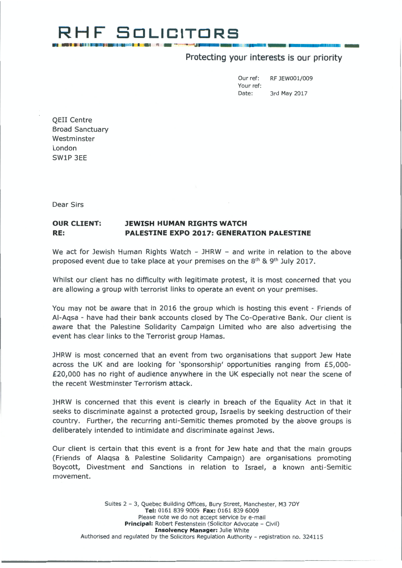## **RH F SOLICITORS =".II \_\_ \_ =- 1EE::J \_ \_\_\_\_ m,om1m** -

### Protecting your interests is our priority

Our ref: RF JEW00l/009 Your ref: Date: 3rd May 2017

QEII Centre Broad Sanctuary Westminster London SWlP 3EE

Dear Sirs

#### **OUR CLIENT: RE: JEWISH HUMAN RIGHTS WATCH PALESTINE EXPO 2017: GENERATION PALESTINE**

We act for Jewish Human Rights Watch  $-$  JHRW  $-$  and write in relation to the above proposed event due to take place at your premises on the 8<sup>th</sup> & 9<sup>th</sup> July 2017.

Whilst our client has no difficulty with legitimate protest, it is most concerned that you are allowing a group with terrorist links to operate an event on your premises.

You may not be aware that in 2016 the group which is hosting this event - Friends of AI-Aqsa - have had their bank accounts closed by The Co-Operative Bank. Our client is aware that the Palestine Solidarity Campaign Limited who are also advertising the event has clear links to the Terrorist group Hamas.

JHRW is most concerned that an event from two organisations that support Jew Hate across the UK and are looking for 'sponsorship' opportunities ranging from £5,000- £20,000 has no right of audience anywhere in the UK especially not near the scene of the recent Westminster Terrorism attack.

JHRW is concerned that this event is clearly in breach of the Equality Act in that it seeks to discriminate against a protected group, Israelis by seeking destruction of their country. Further, the recurring anti-Semitic themes promoted by the above groups is deliberately intended to intimidate and discriminate against Jews.

Our client is certain that this event is a front for Jew hate and that the main groups (Friends of Alaqsa & Palestine Solidarity Campaign) are organisations promoting Boycott, Divestment and Sanctions in relation to Israel, a known anti-Semitic movement.

Suites 2 - 3, Quebec Building Offices, Bury Street, Manchester, M3 7DY **Tel:** 0161 839 9009 **Fax:** 0161 839 6009 Please note we do not accept service by e-mail **Principal:** Robert Festenstein (Solicitor Advocate - Civil) **Insolvency Manager:** Julie White Authorised and regulated by the Solicitors Regulation Authority - registration no. 324115